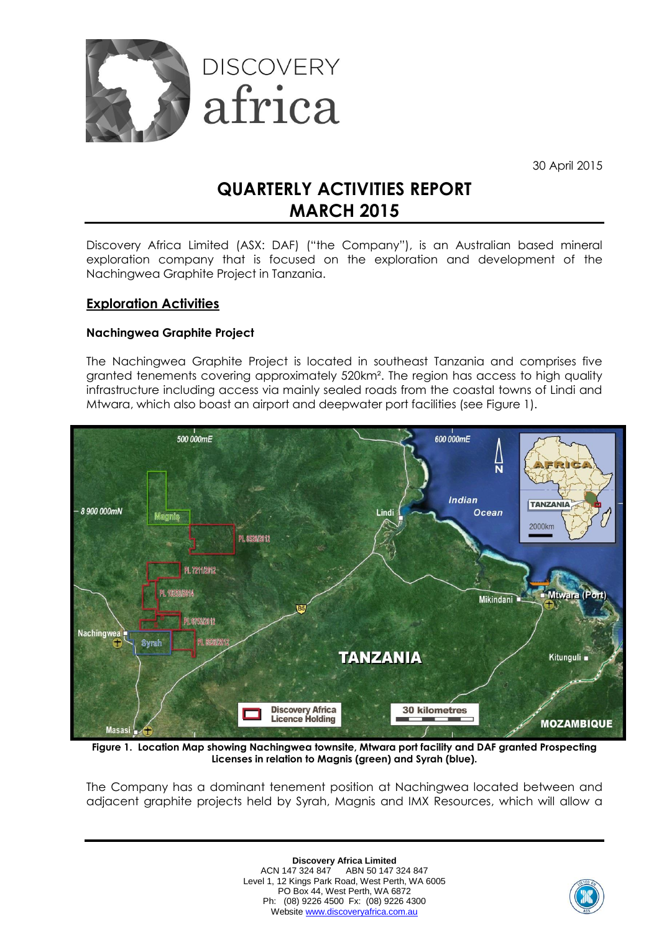

30 April 2015

# **QUARTERLY ACTIVITIES REPORT MARCH 2015**

Discovery Africa Limited (ASX: DAF) ("the Company"), is an Australian based mineral exploration company that is focused on the exploration and development of the Nachingwea Graphite Project in Tanzania.

## **Exploration Activities**

#### **Nachingwea Graphite Project**

The Nachingwea Graphite Project is located in southeast Tanzania and comprises five granted tenements covering approximately 520km². The region has access to high quality infrastructure including access via mainly sealed roads from the coastal towns of Lindi and Mtwara, which also boast an airport and deepwater port facilities (see Figure 1).



**Figure 1. Location Map showing Nachingwea townsite, Mtwara port facility and DAF granted Prospecting Licenses in relation to Magnis (green) and Syrah (blue).**

The Company has a dominant tenement position at Nachingwea located between and adjacent graphite projects held by Syrah, Magnis and IMX Resources, which will allow a

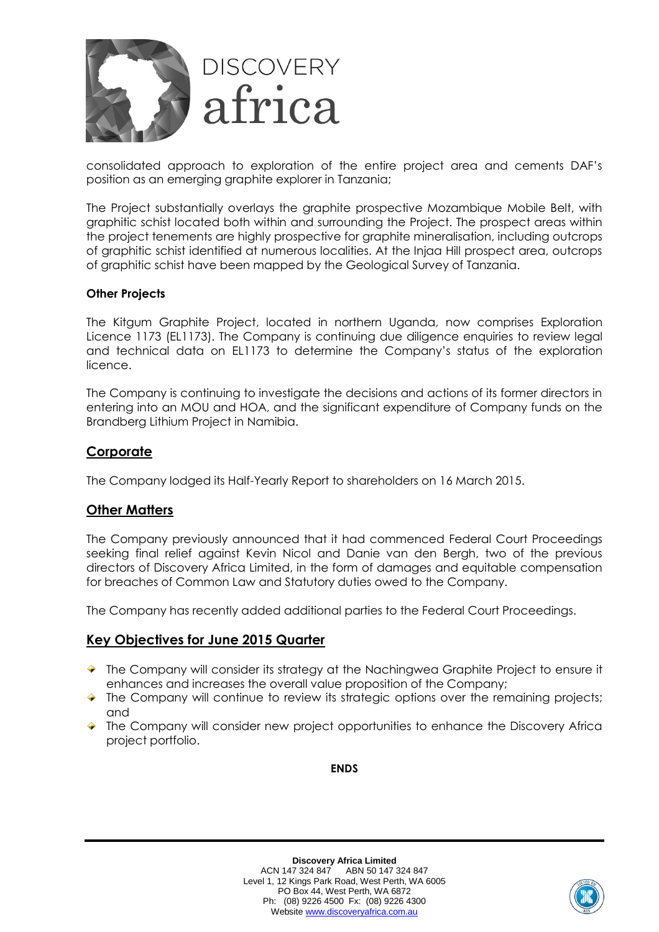

consolidated approach to exploration of the entire project area and cements DAF's position as an emerging graphite explorer in Tanzania;

The Project substantially overlays the graphite prospective Mozambique Mobile Belt, with graphitic schist located both within and surrounding the Project. The prospect areas within the project tenements are highly prospective for graphite mineralisation, including outcrops of graphitic schist identified at numerous localities. At the Injaa Hill prospect area, outcrops of graphitic schist have been mapped by the Geological Survey of Tanzania.

#### **Other Projects**

The Kitgum Graphite Project, located in northern Uganda, now comprises Exploration Licence 1173 (EL1173). The Company is continuing due diligence enquiries to review legal and technical data on EL1173 to determine the Company's status of the exploration licence.

The Company is continuing to investigate the decisions and actions of its former directors in entering into an MOU and HOA, and the significant expenditure of Company funds on the Brandberg Lithium Project in Namibia.

#### **Corporate**

The Company lodged its Half-Yearly Report to shareholders on 16 March 2015.

#### **Other Matters**

The Company previously announced that it had commenced Federal Court Proceedings seeking final relief against Kevin Nicol and Danie van den Bergh, two of the previous directors of Discovery Africa Limited, in the form of damages and equitable compensation for breaches of Common Law and Statutory duties owed to the Company.

The Company has recently added additional parties to the Federal Court Proceedings.

#### **Key Objectives for June 2015 Quarter**

- The Company will consider its strategy at the Nachingwea Graphite Project to ensure it enhances and increases the overall value proposition of the Company;
- $\blacktriangleright$  The Company will continue to review its strategic options over the remaining projects; and
- The Company will consider new project opportunities to enhance the Discovery Africa project portfolio.

**ENDS**